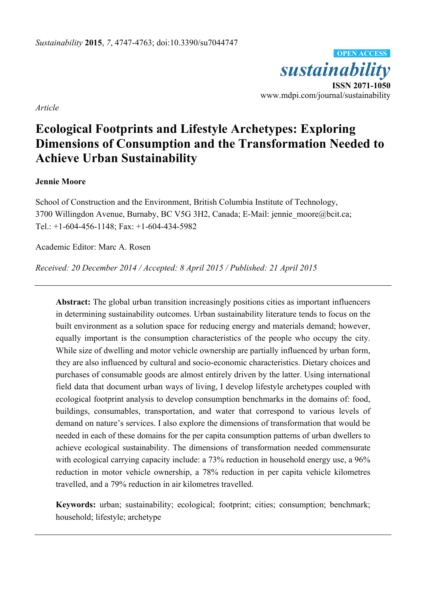

*Article* 

# **Ecological Footprints and Lifestyle Archetypes: Exploring Dimensions of Consumption and the Transformation Needed to Achieve Urban Sustainability**

## **Jennie Moore**

School of Construction and the Environment, British Columbia Institute of Technology, 3700 Willingdon Avenue, Burnaby, BC V5G 3H2, Canada; E-Mail: jennie\_moore@bcit.ca; Tel.: +1-604-456-1148; Fax: +1-604-434-5982

Academic Editor: Marc A. Rosen

*Received: 20 December 2014 / Accepted: 8 April 2015 / Published: 21 April 2015* 

**Abstract:** The global urban transition increasingly positions cities as important influencers in determining sustainability outcomes. Urban sustainability literature tends to focus on the built environment as a solution space for reducing energy and materials demand; however, equally important is the consumption characteristics of the people who occupy the city. While size of dwelling and motor vehicle ownership are partially influenced by urban form, they are also influenced by cultural and socio-economic characteristics. Dietary choices and purchases of consumable goods are almost entirely driven by the latter. Using international field data that document urban ways of living, I develop lifestyle archetypes coupled with ecological footprint analysis to develop consumption benchmarks in the domains of: food, buildings, consumables, transportation, and water that correspond to various levels of demand on nature's services. I also explore the dimensions of transformation that would be needed in each of these domains for the per capita consumption patterns of urban dwellers to achieve ecological sustainability. The dimensions of transformation needed commensurate with ecological carrying capacity include: a 73% reduction in household energy use, a 96% reduction in motor vehicle ownership, a 78% reduction in per capita vehicle kilometres travelled, and a 79% reduction in air kilometres travelled.

**Keywords:** urban; sustainability; ecological; footprint; cities; consumption; benchmark; household; lifestyle; archetype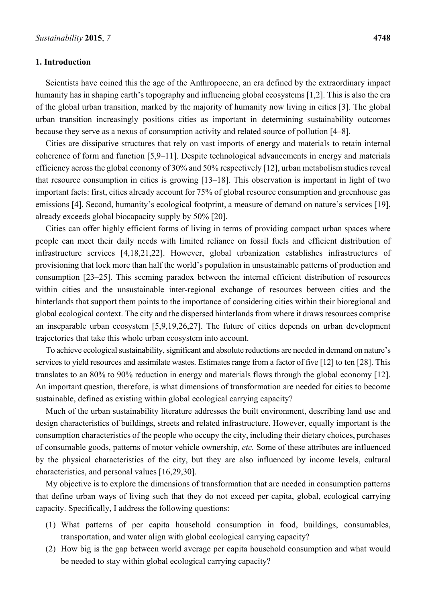#### **1. Introduction**

Scientists have coined this the age of the Anthropocene, an era defined by the extraordinary impact humanity has in shaping earth's topography and influencing global ecosystems [1,2]. This is also the era of the global urban transition, marked by the majority of humanity now living in cities [3]. The global urban transition increasingly positions cities as important in determining sustainability outcomes because they serve as a nexus of consumption activity and related source of pollution [4–8].

Cities are dissipative structures that rely on vast imports of energy and materials to retain internal coherence of form and function [5,9–11]. Despite technological advancements in energy and materials efficiency across the global economy of 30% and 50% respectively [12], urban metabolism studies reveal that resource consumption in cities is growing [13–18]. This observation is important in light of two important facts: first, cities already account for 75% of global resource consumption and greenhouse gas emissions [4]. Second, humanity's ecological footprint, a measure of demand on nature's services [19], already exceeds global biocapacity supply by 50% [20].

Cities can offer highly efficient forms of living in terms of providing compact urban spaces where people can meet their daily needs with limited reliance on fossil fuels and efficient distribution of infrastructure services [4,18,21,22]. However, global urbanization establishes infrastructures of provisioning that lock more than half the world's population in unsustainable patterns of production and consumption [23–25]. This seeming paradox between the internal efficient distribution of resources within cities and the unsustainable inter-regional exchange of resources between cities and the hinterlands that support them points to the importance of considering cities within their bioregional and global ecological context. The city and the dispersed hinterlands from where it draws resources comprise an inseparable urban ecosystem [5,9,19,26,27]. The future of cities depends on urban development trajectories that take this whole urban ecosystem into account.

To achieve ecological sustainability, significant and absolute reductions are needed in demand on nature's services to yield resources and assimilate wastes. Estimates range from a factor of five [12] to ten [28]. This translates to an 80% to 90% reduction in energy and materials flows through the global economy [12]. An important question, therefore, is what dimensions of transformation are needed for cities to become sustainable, defined as existing within global ecological carrying capacity?

Much of the urban sustainability literature addresses the built environment, describing land use and design characteristics of buildings, streets and related infrastructure. However, equally important is the consumption characteristics of the people who occupy the city, including their dietary choices, purchases of consumable goods, patterns of motor vehicle ownership, *etc.* Some of these attributes are influenced by the physical characteristics of the city, but they are also influenced by income levels, cultural characteristics, and personal values [16,29,30].

My objective is to explore the dimensions of transformation that are needed in consumption patterns that define urban ways of living such that they do not exceed per capita, global, ecological carrying capacity. Specifically, I address the following questions:

- (1) What patterns of per capita household consumption in food, buildings, consumables, transportation, and water align with global ecological carrying capacity?
- (2) How big is the gap between world average per capita household consumption and what would be needed to stay within global ecological carrying capacity?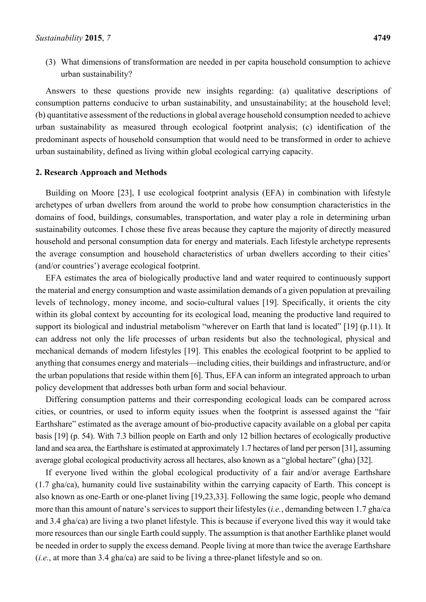(3) What dimensions of transformation are needed in per capita household consumption to achieve urban sustainability?

Answers to these questions provide new insights regarding: (a) qualitative descriptions of consumption patterns conducive to urban sustainability, and unsustainability; at the household level; (b) quantitative assessment of the reductions in global average household consumption needed to achieve urban sustainability as measured through ecological footprint analysis; (c) identification of the predominant aspects of household consumption that would need to be transformed in order to achieve urban sustainability, defined as living within global ecological carrying capacity.

#### **2. Research Approach and Methods**

Building on Moore [23], I use ecological footprint analysis (EFA) in combination with lifestyle archetypes of urban dwellers from around the world to probe how consumption characteristics in the domains of food, buildings, consumables, transportation, and water play a role in determining urban sustainability outcomes. I chose these five areas because they capture the majority of directly measured household and personal consumption data for energy and materials. Each lifestyle archetype represents the average consumption and household characteristics of urban dwellers according to their cities' (and/or countries') average ecological footprint.

EFA estimates the area of biologically productive land and water required to continuously support the material and energy consumption and waste assimilation demands of a given population at prevailing levels of technology, money income, and socio-cultural values [19]. Specifically, it orients the city within its global context by accounting for its ecological load, meaning the productive land required to support its biological and industrial metabolism "wherever on Earth that land is located" [19] (p.11). It can address not only the life processes of urban residents but also the technological, physical and mechanical demands of modern lifestyles [19]. This enables the ecological footprint to be applied to anything that consumes energy and materials—including cities, their buildings and infrastructure, and/or the urban populations that reside within them [6]. Thus, EFA can inform an integrated approach to urban policy development that addresses both urban form and social behaviour.

Differing consumption patterns and their corresponding ecological loads can be compared across cities, or countries, or used to inform equity issues when the footprint is assessed against the "fair Earthshare" estimated as the average amount of bio-productive capacity available on a global per capita basis [19] (p. 54). With 7.3 billion people on Earth and only 12 billion hectares of ecologically productive land and sea area, the Earthshare is estimated at approximately 1.7 hectares of land per person [31], assuming average global ecological productivity across all hectares, also known as a "global hectare" (gha) [32].

If everyone lived within the global ecological productivity of a fair and/or average Earthshare (1.7 gha/ca), humanity could live sustainability within the carrying capacity of Earth. This concept is also known as one-Earth or one-planet living [19,23,33]. Following the same logic, people who demand more than this amount of nature's services to support their lifestyles (*i.e.*, demanding between 1.7 gha/ca and 3.4 gha/ca) are living a two planet lifestyle. This is because if everyone lived this way it would take more resources than our single Earth could supply. The assumption is that another Earthlike planet would be needed in order to supply the excess demand. People living at more than twice the average Earthshare (*i.e.*, at more than 3.4 gha/ca) are said to be living a three-planet lifestyle and so on.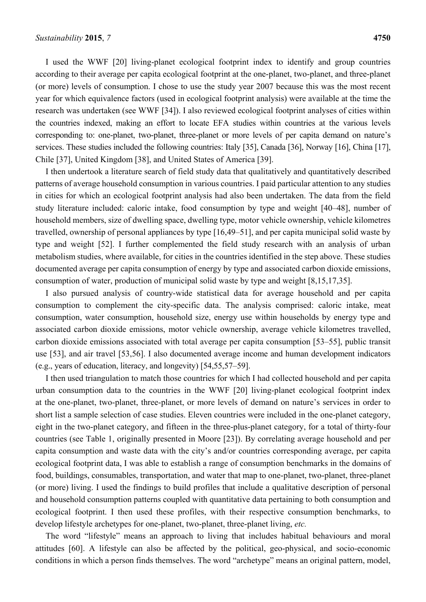I used the WWF [20] living-planet ecological footprint index to identify and group countries according to their average per capita ecological footprint at the one-planet, two-planet, and three-planet (or more) levels of consumption. I chose to use the study year 2007 because this was the most recent year for which equivalence factors (used in ecological footprint analysis) were available at the time the research was undertaken (see WWF [34]). I also reviewed ecological footprint analyses of cities within the countries indexed, making an effort to locate EFA studies within countries at the various levels corresponding to: one-planet, two-planet, three-planet or more levels of per capita demand on nature's services. These studies included the following countries: Italy [35], Canada [36], Norway [16], China [17], Chile [37], United Kingdom [38], and United States of America [39].

I then undertook a literature search of field study data that qualitatively and quantitatively described patterns of average household consumption in various countries. I paid particular attention to any studies in cities for which an ecological footprint analysis had also been undertaken. The data from the field study literature included: caloric intake, food consumption by type and weight [40–48], number of household members, size of dwelling space, dwelling type, motor vehicle ownership, vehicle kilometres travelled, ownership of personal appliances by type [16,49–51], and per capita municipal solid waste by type and weight [52]. I further complemented the field study research with an analysis of urban metabolism studies, where available, for cities in the countries identified in the step above. These studies documented average per capita consumption of energy by type and associated carbon dioxide emissions, consumption of water, production of municipal solid waste by type and weight [8,15,17,35].

I also pursued analysis of country-wide statistical data for average household and per capita consumption to complement the city-specific data. The analysis comprised: caloric intake, meat consumption, water consumption, household size, energy use within households by energy type and associated carbon dioxide emissions, motor vehicle ownership, average vehicle kilometres travelled, carbon dioxide emissions associated with total average per capita consumption [53–55], public transit use [53], and air travel [53,56]. I also documented average income and human development indicators (e.g., years of education, literacy, and longevity) [54,55,57–59].

I then used triangulation to match those countries for which I had collected household and per capita urban consumption data to the countries in the WWF [20] living-planet ecological footprint index at the one-planet, two-planet, three-planet, or more levels of demand on nature's services in order to short list a sample selection of case studies. Eleven countries were included in the one-planet category, eight in the two-planet category, and fifteen in the three-plus-planet category, for a total of thirty-four countries (see Table 1, originally presented in Moore [23]). By correlating average household and per capita consumption and waste data with the city's and/or countries corresponding average, per capita ecological footprint data, I was able to establish a range of consumption benchmarks in the domains of food, buildings, consumables, transportation, and water that map to one-planet, two-planet, three-planet (or more) living. I used the findings to build profiles that include a qualitative description of personal and household consumption patterns coupled with quantitative data pertaining to both consumption and ecological footprint. I then used these profiles, with their respective consumption benchmarks, to develop lifestyle archetypes for one-planet, two-planet, three-planet living, *etc.*

The word "lifestyle" means an approach to living that includes habitual behaviours and moral attitudes [60]. A lifestyle can also be affected by the political, geo-physical, and socio-economic conditions in which a person finds themselves. The word "archetype" means an original pattern, model,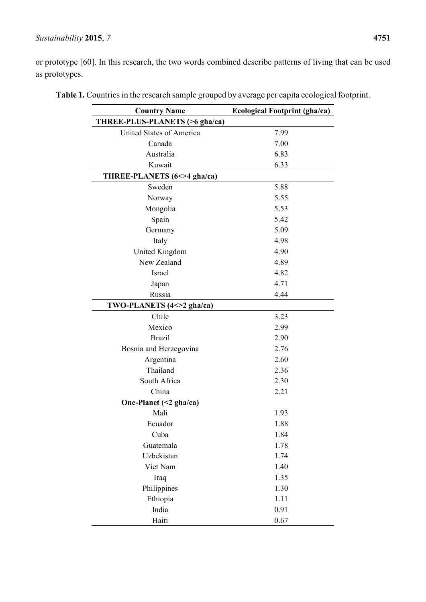# *Sustainability* **2015**, *7* **4751**

or prototype [60]. In this research, the two words combined describe patterns of living that can be used as prototypes.

| <b>Country Name</b>            | <b>Ecological Footprint (gha/ca)</b> |
|--------------------------------|--------------------------------------|
| THREE-PLUS-PLANETS (>6 gha/ca) |                                      |
| United States of America       | 7.99                                 |
| Canada                         | 7.00                                 |
| Australia                      | 6.83                                 |
| Kuwait                         | 6.33                                 |
| THREE-PLANETS (6<>4 gha/ca)    |                                      |
| Sweden                         | 5.88                                 |
| Norway                         | 5.55                                 |
| Mongolia                       | 5.53                                 |
| Spain                          | 5.42                                 |
| Germany                        | 5.09                                 |
| Italy                          | 4.98                                 |
| United Kingdom                 | 4.90                                 |
| New Zealand                    | 4.89                                 |
| Israel                         | 4.82                                 |
| Japan                          | 4.71                                 |
| Russia                         | 4.44                                 |
| TWO-PLANETS (4<>2 gha/ca)      |                                      |
| Chile                          | 3.23                                 |
| Mexico                         | 2.99                                 |
| <b>Brazil</b>                  | 2.90                                 |
| Bosnia and Herzegovina         | 2.76                                 |
| Argentina                      | 2.60                                 |
| Thailand                       | 2.36                                 |
| South Africa                   | 2.30                                 |
| China                          | 2.21                                 |
| One-Planet $(\leq 2$ gha/ca)   |                                      |
| Mali                           | 1.93                                 |
| Ecuador                        | 1.88                                 |
| Cuba                           | 1.84                                 |
| Guatemala                      | 1.78                                 |
| Uzbekistan                     | 1.74                                 |
| Viet Nam                       | 1.40                                 |
| Iraq                           | 1.35                                 |
| Philippines                    | 1.30                                 |
| Ethiopia                       | 1.11                                 |
| India                          | 0.91                                 |
| Haiti                          | 0.67                                 |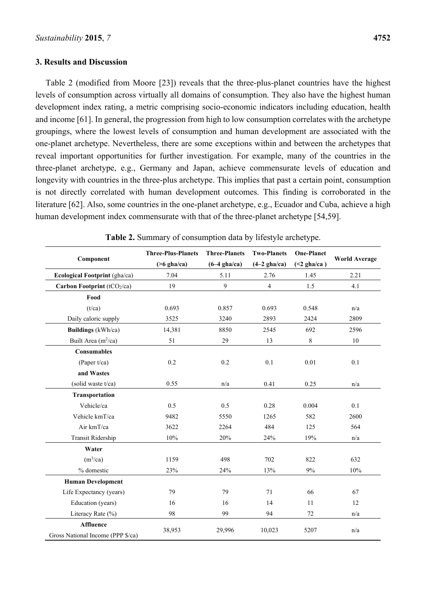#### **3. Results and Discussion**

Table 2 (modified from Moore [23]) reveals that the three-plus-planet countries have the highest levels of consumption across virtually all domains of consumption. They also have the highest human development index rating, a metric comprising socio-economic indicators including education, health and income [61]. In general, the progression from high to low consumption correlates with the archetype groupings, where the lowest levels of consumption and human development are associated with the one-planet archetype. Nevertheless, there are some exceptions within and between the archetypes that reveal important opportunities for further investigation. For example, many of the countries in the three-planet archetype, e.g., Germany and Japan, achieve commensurate levels of education and longevity with countries in the three-plus archetype. This implies that past a certain point, consumption is not directly correlated with human development outcomes. This finding is corroborated in the literature [62]. Also, some countries in the one-planet archetype, e.g., Ecuador and Cuba, achieve a high human development index commensurate with that of the three-planet archetype [54,59].

| Component                                             | <b>Three-Plus-Planets</b> | <b>Three-Planets</b> | <b>Two-Planets</b> | <b>One-Planet</b> |                      |
|-------------------------------------------------------|---------------------------|----------------------|--------------------|-------------------|----------------------|
|                                                       | $($ >6 gha/ca)            | $(6-4)$ gha/ca)      | $(4-2)$ gha/ca)    | $(\leq 2$ gha/ca) | <b>World Average</b> |
| Ecological Footprint (gha/ca)                         | 7.04                      | 5.11                 | 2.76               | 1.45              | 2.21                 |
| Carbon Footprint (tCO2/ca)                            | 19                        | 9                    | $\overline{4}$     | 1.5               | 4.1                  |
| Food                                                  |                           |                      |                    |                   |                      |
| (t/ca)                                                | 0.693                     | 0.857                | 0.693              | 0.548             | n/a                  |
| Daily caloric supply                                  | 3525                      | 3240                 | 2893               | 2424              | 2809                 |
| <b>Buildings</b> (kWh/ca)                             | 14,381                    | 8850                 | 2545               | 692               | 2596                 |
| Built Area $(m^2/ca)$                                 | 51                        | 29                   | 13                 | 8                 | $10\,$               |
| Consumables                                           |                           |                      |                    |                   |                      |
| (Paper $t$ /ca)                                       | 0.2                       | 0.2                  | 0.1                | 0.01              | 0.1                  |
| and Wastes                                            |                           |                      |                    |                   |                      |
| (solid waste t/ca)                                    | 0.55                      | n/a                  | 0.41               | 0.25              | n/a                  |
| Transportation                                        |                           |                      |                    |                   |                      |
| Vehicle/ca                                            | 0.5                       | 0.5                  | 0.28               | 0.004             | 0.1                  |
| Vehicle kmT/ca                                        | 9482                      | 5550                 | 1265               | 582               | 2600                 |
| Air kmT/ca                                            | 3622                      | 2264                 | 484                | 125               | 564                  |
| Transit Ridership                                     | 10%                       | 20%                  | 24%                | 19%               | n/a                  |
| Water                                                 |                           |                      |                    |                   |                      |
| (m <sup>3</sup> /ca)                                  | 1159                      | 498                  | 702                | 822               | 632                  |
| % domestic                                            | 23%                       | 24%                  | 13%                | 9%                | 10%                  |
| <b>Human Development</b>                              |                           |                      |                    |                   |                      |
| Life Expectancy (years)                               | 79                        | 79                   | 71                 | 66                | 67                   |
| Education (years)                                     | 16                        | 16                   | 14                 | 11                | 12                   |
| Literacy Rate (%)                                     | 98                        | 99                   | 94                 | 72                | n/a                  |
| <b>Affluence</b><br>Gross National Income (PPP \$/ca) | 38,953                    | 29,996               | 10,023             | 5207              | n/a                  |

**Table 2.** Summary of consumption data by lifestyle archetype.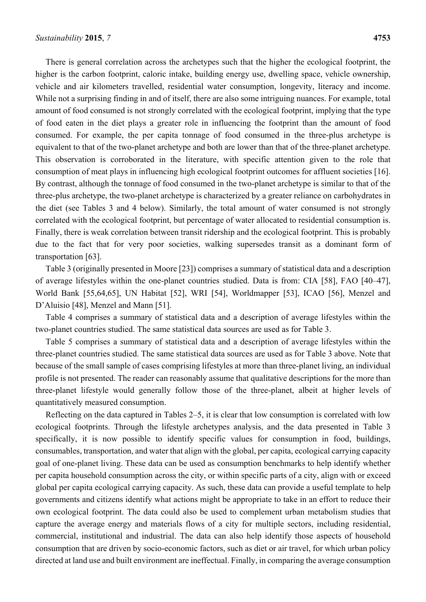There is general correlation across the archetypes such that the higher the ecological footprint, the higher is the carbon footprint, caloric intake, building energy use, dwelling space, vehicle ownership, vehicle and air kilometers travelled, residential water consumption, longevity, literacy and income. While not a surprising finding in and of itself, there are also some intriguing nuances. For example, total amount of food consumed is not strongly correlated with the ecological footprint, implying that the type of food eaten in the diet plays a greater role in influencing the footprint than the amount of food consumed. For example, the per capita tonnage of food consumed in the three-plus archetype is equivalent to that of the two-planet archetype and both are lower than that of the three-planet archetype. This observation is corroborated in the literature, with specific attention given to the role that consumption of meat plays in influencing high ecological footprint outcomes for affluent societies [16]. By contrast, although the tonnage of food consumed in the two-planet archetype is similar to that of the three-plus archetype, the two-planet archetype is characterized by a greater reliance on carbohydrates in the diet (see Tables 3 and 4 below). Similarly, the total amount of water consumed is not strongly correlated with the ecological footprint, but percentage of water allocated to residential consumption is. Finally, there is weak correlation between transit ridership and the ecological footprint. This is probably due to the fact that for very poor societies, walking supersedes transit as a dominant form of transportation [63].

Table 3 (originally presented in Moore [23]) comprises a summary of statistical data and a description of average lifestyles within the one-planet countries studied. Data is from: CIA [58], FAO [40–47], World Bank [55,64,65], UN Habitat [52], WRI [54], Worldmapper [53], ICAO [56], Menzel and D'Aluisio [48], Menzel and Mann [51].

Table 4 comprises a summary of statistical data and a description of average lifestyles within the two-planet countries studied. The same statistical data sources are used as for Table 3.

Table 5 comprises a summary of statistical data and a description of average lifestyles within the three-planet countries studied. The same statistical data sources are used as for Table 3 above. Note that because of the small sample of cases comprising lifestyles at more than three-planet living, an individual profile is not presented. The reader can reasonably assume that qualitative descriptions for the more than three-planet lifestyle would generally follow those of the three-planet, albeit at higher levels of quantitatively measured consumption.

Reflecting on the data captured in Tables 2–5, it is clear that low consumption is correlated with low ecological footprints. Through the lifestyle archetypes analysis, and the data presented in Table 3 specifically, it is now possible to identify specific values for consumption in food, buildings, consumables, transportation, and water that align with the global, per capita, ecological carrying capacity goal of one-planet living. These data can be used as consumption benchmarks to help identify whether per capita household consumption across the city, or within specific parts of a city, align with or exceed global per capita ecological carrying capacity. As such, these data can provide a useful template to help governments and citizens identify what actions might be appropriate to take in an effort to reduce their own ecological footprint. The data could also be used to complement urban metabolism studies that capture the average energy and materials flows of a city for multiple sectors, including residential, commercial, institutional and industrial. The data can also help identify those aspects of household consumption that are driven by socio-economic factors, such as diet or air travel, for which urban policy directed at land use and built environment are ineffectual. Finally, in comparing the average consumption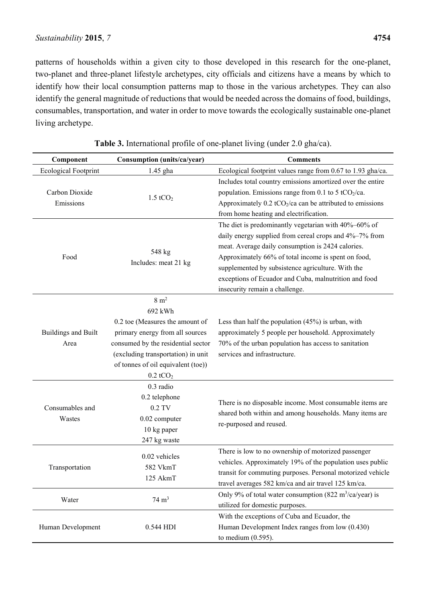patterns of households within a given city to those developed in this research for the one-planet, two-planet and three-planet lifestyle archetypes, city officials and citizens have a means by which to identify how their local consumption patterns map to those in the various archetypes. They can also identify the general magnitude of reductions that would be needed across the domains of food, buildings, consumables, transportation, and water in order to move towards the ecologically sustainable one-planet living archetype.

| Component                          | Consumption (units/ca/year)                                                                                                                                                                                                         | <b>Comments</b>                                                                                                                                                                                                                                                                                                                                                            |  |
|------------------------------------|-------------------------------------------------------------------------------------------------------------------------------------------------------------------------------------------------------------------------------------|----------------------------------------------------------------------------------------------------------------------------------------------------------------------------------------------------------------------------------------------------------------------------------------------------------------------------------------------------------------------------|--|
| <b>Ecological Footprint</b>        | 1.45 gha                                                                                                                                                                                                                            | Ecological footprint values range from 0.67 to 1.93 gha/ca.                                                                                                                                                                                                                                                                                                                |  |
| Carbon Dioxide<br>Emissions        | $1.5$ t $CO2$                                                                                                                                                                                                                       | Includes total country emissions amortized over the entire<br>population. Emissions range from 0.1 to 5 tCO <sub>2</sub> /ca.<br>Approximately $0.2$ tCO <sub>2</sub> /ca can be attributed to emissions<br>from home heating and electrification.                                                                                                                         |  |
| Food                               | 548 kg<br>Includes: meat 21 kg                                                                                                                                                                                                      | The diet is predominantly vegetarian with 40%-60% of<br>daily energy supplied from cereal crops and 4%-7% from<br>meat. Average daily consumption is 2424 calories.<br>Approximately 66% of total income is spent on food,<br>supplemented by subsistence agriculture. With the<br>exceptions of Ecuador and Cuba, malnutrition and food<br>insecurity remain a challenge. |  |
| <b>Buildings and Built</b><br>Area | $8 \text{ m}^2$<br>692 kWh<br>0.2 toe (Measures the amount of<br>primary energy from all sources<br>consumed by the residential sector<br>(excluding transportation) in unit<br>of tonnes of oil equivalent (toe))<br>$0.2$ t $CO2$ | Less than half the population $(45%)$ is urban, with<br>approximately 5 people per household. Approximately<br>70% of the urban population has access to sanitation<br>services and infrastructure.                                                                                                                                                                        |  |
| Consumables and<br>Wastes          | 0.3 radio<br>0.2 telephone<br>$0.2$ TV<br>0.02 computer<br>10 kg paper<br>247 kg waste                                                                                                                                              | There is no disposable income. Most consumable items are<br>shared both within and among households. Many items are<br>re-purposed and reused.                                                                                                                                                                                                                             |  |
| Transportation                     | 0.02 vehicles<br>582 VkmT<br>125 AkmT                                                                                                                                                                                               | There is low to no ownership of motorized passenger<br>vehicles. Approximately 19% of the population uses public<br>transit for commuting purposes. Personal motorized vehicle<br>travel averages 582 km/ca and air travel 125 km/ca.                                                                                                                                      |  |
| Water                              | $74 \text{ m}^3$                                                                                                                                                                                                                    | Only 9% of total water consumption (822 m <sup>3</sup> /ca/year) is<br>utilized for domestic purposes.                                                                                                                                                                                                                                                                     |  |
| Human Development                  | 0.544 HDI                                                                                                                                                                                                                           | With the exceptions of Cuba and Ecuador, the<br>Human Development Index ranges from low (0.430)<br>to medium $(0.595)$ .                                                                                                                                                                                                                                                   |  |

| Table 3. International profile of one-planet living (under 2.0 gha/ca). |
|-------------------------------------------------------------------------|
|-------------------------------------------------------------------------|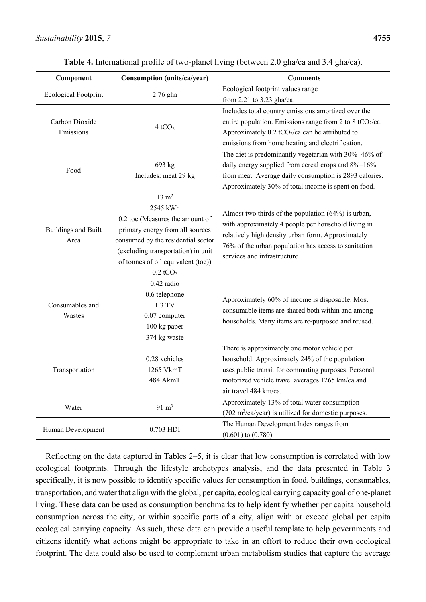| Component                          | Consumption (units/ca/year)                                                                                                                                                                                                           | <b>Comments</b>                                                                                                                                                                                                                                           |  |  |
|------------------------------------|---------------------------------------------------------------------------------------------------------------------------------------------------------------------------------------------------------------------------------------|-----------------------------------------------------------------------------------------------------------------------------------------------------------------------------------------------------------------------------------------------------------|--|--|
| <b>Ecological Footprint</b>        | 2.76 gha                                                                                                                                                                                                                              | Ecological footprint values range                                                                                                                                                                                                                         |  |  |
|                                    |                                                                                                                                                                                                                                       | from 2.21 to 3.23 gha/ca.                                                                                                                                                                                                                                 |  |  |
| Carbon Dioxide<br>Emissions        | 4tCO <sub>2</sub>                                                                                                                                                                                                                     | Includes total country emissions amortized over the<br>entire population. Emissions range from 2 to 8 tCO <sub>2</sub> /ca.<br>Approximately $0.2$ tCO <sub>2</sub> /ca can be attributed to<br>emissions from home heating and electrification.          |  |  |
| Food                               | 693 kg<br>Includes: meat 29 kg                                                                                                                                                                                                        | The diet is predominantly vegetarian with 30%-46% of<br>daily energy supplied from cereal crops and 8%-16%<br>from meat. Average daily consumption is 2893 calories.<br>Approximately 30% of total income is spent on food.                               |  |  |
| <b>Buildings and Built</b><br>Area | $13 \text{ m}^2$<br>2545 kWh<br>0.2 toe (Measures the amount of<br>primary energy from all sources<br>consumed by the residential sector<br>(excluding transportation) in unit<br>of tonnes of oil equivalent (toe))<br>$0.2$ t $CO2$ | Almost two thirds of the population $(64%)$ is urban,<br>with approximately 4 people per household living in<br>relatively high density urban form. Approximately<br>76% of the urban population has access to sanitation<br>services and infrastructure. |  |  |
| Consumables and<br>Wastes          | $0.42$ radio<br>0.6 telephone<br>1.3 TV<br>0.07 computer<br>100 kg paper<br>374 kg waste                                                                                                                                              | Approximately 60% of income is disposable. Most<br>consumable items are shared both within and among<br>households. Many items are re-purposed and reused.                                                                                                |  |  |
| Transportation                     | 0.28 vehicles<br>1265 VkmT<br>484 AkmT                                                                                                                                                                                                | There is approximately one motor vehicle per<br>household. Approximately 24% of the population<br>uses public transit for commuting purposes. Personal<br>motorized vehicle travel averages 1265 km/ca and<br>air travel 484 km/ca.                       |  |  |
| Water                              | $91 \text{ m}^3$                                                                                                                                                                                                                      | Approximately 13% of total water consumption<br>(702 m <sup>3</sup> /ca/year) is utilized for domestic purposes.                                                                                                                                          |  |  |
| Human Development                  | 0.703 HDI                                                                                                                                                                                                                             | The Human Development Index ranges from<br>$(0.601)$ to $(0.780)$ .                                                                                                                                                                                       |  |  |

**Table 4.** International profile of two-planet living (between 2.0 gha/ca and 3.4 gha/ca).

Reflecting on the data captured in Tables 2–5, it is clear that low consumption is correlated with low ecological footprints. Through the lifestyle archetypes analysis, and the data presented in Table 3 specifically, it is now possible to identify specific values for consumption in food, buildings, consumables, transportation, and water that align with the global, per capita, ecological carrying capacity goal of one-planet living. These data can be used as consumption benchmarks to help identify whether per capita household consumption across the city, or within specific parts of a city, align with or exceed global per capita ecological carrying capacity. As such, these data can provide a useful template to help governments and citizens identify what actions might be appropriate to take in an effort to reduce their own ecological footprint. The data could also be used to complement urban metabolism studies that capture the average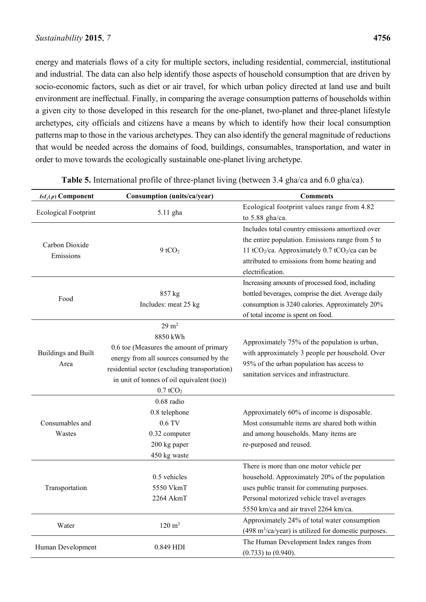energy and materials flows of a city for multiple sectors, including residential, commercial, institutional and industrial. The data can also help identify those aspects of household consumption that are driven by socio-economic factors, such as diet or air travel, for which urban policy directed at land use and built environment are ineffectual. Finally, in comparing the average consumption patterns of households within a given city to those developed in this research for the one-planet, two-planet and three-planet lifestyle archetypes, city officials and citizens have a means by which to identify how their local consumption patterns map to those in the various archetypes. They can also identify the general magnitude of reductions that would be needed across the domains of food, buildings, consumables, transportation, and water in order to move towards the ecologically sustainable one-planet living archetype.

| $IsI_i(p)$ Component        | Consumption (units/ca/year)                   | <b>Comments</b>                                                                      |  |  |
|-----------------------------|-----------------------------------------------|--------------------------------------------------------------------------------------|--|--|
|                             |                                               | Ecological footprint values range from 4.82                                          |  |  |
| <b>Ecological Footprint</b> | 5.11 gha                                      | to $5.88$ gha/ca.                                                                    |  |  |
|                             |                                               | Includes total country emissions amortized over                                      |  |  |
| Carbon Dioxide              |                                               | the entire population. Emissions range from 5 to                                     |  |  |
| Emissions                   | $9$ tCO <sub>2</sub>                          | 11 tCO <sub>2</sub> /ca. Approximately 0.7 tCO <sub>2</sub> /ca can be               |  |  |
|                             |                                               | attributed to emissions from home heating and                                        |  |  |
|                             |                                               | electrification.                                                                     |  |  |
|                             |                                               | Increasing amounts of processed food, including                                      |  |  |
| Food                        | 857 kg                                        | bottled beverages, comprise the diet. Average daily                                  |  |  |
|                             | Includes: meat 25 kg                          | consumption is 3240 calories. Approximately 20%                                      |  |  |
|                             |                                               | of total income is spent on food.                                                    |  |  |
|                             | $29 \text{ m}^2$                              |                                                                                      |  |  |
|                             | 8850 kWh                                      | Approximately 75% of the population is urban,                                        |  |  |
| <b>Buildings and Built</b>  | 0.6 toe (Measures the amount of primary       | with approximately 3 people per household. Over                                      |  |  |
| Area                        | energy from all sources consumed by the       | 95% of the urban population has access to<br>sanitation services and infrastructure. |  |  |
|                             | residential sector (excluding transportation) |                                                                                      |  |  |
|                             | in unit of tonnes of oil equivalent (toe))    |                                                                                      |  |  |
|                             | $0.7$ t $CO2$                                 |                                                                                      |  |  |
|                             | 0.68 radio                                    |                                                                                      |  |  |
|                             | 0.8 telephone                                 | Approximately 60% of income is disposable.                                           |  |  |
| Consumables and             | 0.6 TV                                        | Most consumable items are shared both within                                         |  |  |
| Wastes                      | 0.32 computer                                 | and among households. Many items are                                                 |  |  |
|                             | 200 kg paper                                  | re-purposed and reused.                                                              |  |  |
|                             | 450 kg waste                                  |                                                                                      |  |  |
|                             | 0.5 vehicles                                  | There is more than one motor vehicle per                                             |  |  |
| Transportation              | 5550 VkmT                                     | household. Approximately 20% of the population                                       |  |  |
|                             | $2264$ AkmT                                   | uses public transit for commuting purposes.                                          |  |  |
|                             |                                               | Personal motorized vehicle travel averages<br>5550 km/ca and air travel 2264 km/ca.  |  |  |
|                             |                                               | Approximately 24% of total water consumption                                         |  |  |
| Water                       | $120 \text{ m}^3$                             | $(498 \text{ m}^3/\text{ca/year})$ is utilized for domestic purposes.                |  |  |
|                             |                                               | The Human Development Index ranges from                                              |  |  |
| Human Development           | 0.849 HDI                                     | $(0.733)$ to $(0.940)$ .                                                             |  |  |

**Table 5.** International profile of three-planet living (between 3.4 gha/ca and 6.0 gha/ca).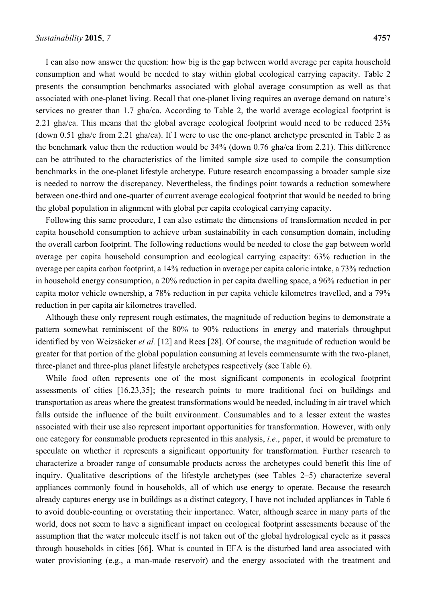I can also now answer the question: how big is the gap between world average per capita household consumption and what would be needed to stay within global ecological carrying capacity. Table 2 presents the consumption benchmarks associated with global average consumption as well as that associated with one-planet living. Recall that one-planet living requires an average demand on nature's services no greater than 1.7 gha/ca. According to Table 2, the world average ecological footprint is 2.21 gha/ca. This means that the global average ecological footprint would need to be reduced 23% (down 0.51 gha/c from 2.21 gha/ca). If I were to use the one-planet archetype presented in Table 2 as the benchmark value then the reduction would be 34% (down 0.76 gha/ca from 2.21). This difference can be attributed to the characteristics of the limited sample size used to compile the consumption benchmarks in the one-planet lifestyle archetype. Future research encompassing a broader sample size is needed to narrow the discrepancy. Nevertheless, the findings point towards a reduction somewhere between one-third and one-quarter of current average ecological footprint that would be needed to bring the global population in alignment with global per capita ecological carrying capacity.

Following this same procedure, I can also estimate the dimensions of transformation needed in per capita household consumption to achieve urban sustainability in each consumption domain, including the overall carbon footprint. The following reductions would be needed to close the gap between world average per capita household consumption and ecological carrying capacity: 63% reduction in the average per capita carbon footprint, a 14% reduction in average per capita caloric intake, a 73% reduction in household energy consumption, a 20% reduction in per capita dwelling space, a 96% reduction in per capita motor vehicle ownership, a 78% reduction in per capita vehicle kilometres travelled, and a 79% reduction in per capita air kilometres travelled.

Although these only represent rough estimates, the magnitude of reduction begins to demonstrate a pattern somewhat reminiscent of the 80% to 90% reductions in energy and materials throughput identified by von Weizsäcker *et al.* [12] and Rees [28]. Of course, the magnitude of reduction would be greater for that portion of the global population consuming at levels commensurate with the two-planet, three-planet and three-plus planet lifestyle archetypes respectively (see Table 6).

While food often represents one of the most significant components in ecological footprint assessments of cities [16,23,35]; the research points to more traditional foci on buildings and transportation as areas where the greatest transformations would be needed, including in air travel which falls outside the influence of the built environment. Consumables and to a lesser extent the wastes associated with their use also represent important opportunities for transformation. However, with only one category for consumable products represented in this analysis, *i.e.*, paper, it would be premature to speculate on whether it represents a significant opportunity for transformation. Further research to characterize a broader range of consumable products across the archetypes could benefit this line of inquiry. Qualitative descriptions of the lifestyle archetypes (see Tables 2–5) characterize several appliances commonly found in households, all of which use energy to operate. Because the research already captures energy use in buildings as a distinct category, I have not included appliances in Table 6 to avoid double-counting or overstating their importance. Water, although scarce in many parts of the world, does not seem to have a significant impact on ecological footprint assessments because of the assumption that the water molecule itself is not taken out of the global hydrological cycle as it passes through households in cities [66]. What is counted in EFA is the disturbed land area associated with water provisioning (e.g., a man-made reservoir) and the energy associated with the treatment and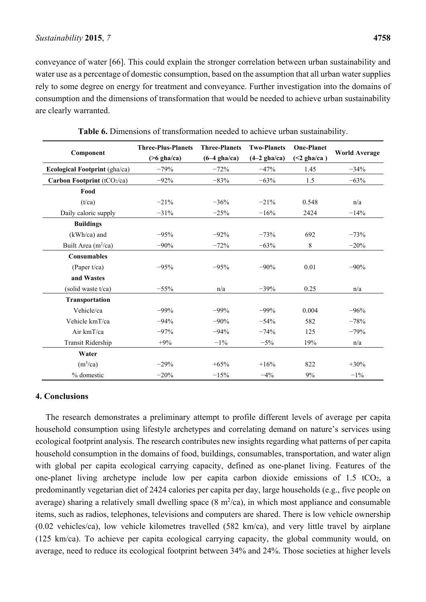conveyance of water [66]. This could explain the stronger correlation between urban sustainability and water use as a percentage of domestic consumption, based on the assumption that all urban water supplies rely to some degree on energy for treatment and conveyance. Further investigation into the domains of consumption and the dimensions of transformation that would be needed to achieve urban sustainability are clearly warranted.

|                               | <b>Three-Plus-Planets</b> | <b>Three-Planets</b> | <b>Two-Planets</b> | <b>One-Planet</b> |                      |
|-------------------------------|---------------------------|----------------------|--------------------|-------------------|----------------------|
| Component                     | $($ >6 gha/ca)            | $(6-4)$ gha/ca)      | $(4-2)$ gha/ca)    | $(\leq 2$ gha/ca) | <b>World Average</b> |
| Ecological Footprint (gha/ca) | $-79%$                    | $-72%$               | $-47%$             | 1.45              | $-34%$               |
| Carbon Footprint (tCO2/ca)    | $-92%$                    | $-83%$               | $-63%$             | 1.5               | $-63%$               |
| Food                          |                           |                      |                    |                   |                      |
| (t/ca)                        | $-21%$                    | $-36%$               | $-21%$             | 0.548             | n/a                  |
| Daily caloric supply          | $-31%$                    | $-25%$               | $-16%$             | 2424              | $-14%$               |
| <b>Buildings</b>              |                           |                      |                    |                   |                      |
| $(kWh/ca)$ and                | $-95%$                    | $-92%$               | $-73%$             | 692               | $-73%$               |
| Built Area $(m^2/ca)$         | $-90%$                    | $-72%$               | $-63%$             | 8                 | $-20%$               |
| <b>Consumables</b>            |                           |                      |                    |                   |                      |
| (Paper $t$ /ca)               | $-95%$                    | $-95%$               | $-90%$             | 0.01              | $-90%$               |
| and Wastes                    |                           |                      |                    |                   |                      |
| (solid waste t/ca)            | $-55%$                    | n/a                  | $-39%$             | 0.25              | n/a                  |
| Transportation                |                           |                      |                    |                   |                      |
| Vehicle/ca                    | $-99%$                    | $-99%$               | $-99%$             | 0.004             | $-96%$               |
| Vehicle kmT/ca                | $-94%$                    | $-90%$               | $-54%$             | 582               | $-78%$               |
| Air kmT/ca                    | $-97%$                    | $-94%$               | $-74%$             | 125               | $-79%$               |
| Transit Ridership             | $+9%$                     | $-1\%$               | $-5%$              | 19%               | n/a                  |
| Water                         |                           |                      |                    |                   |                      |
| (m <sup>3</sup> /ca)          | $-29%$                    | $+65%$               | $+16%$             | 822               | $+30%$               |
| % domestic                    | $-20%$                    | $-15%$               | $-4%$              | 9%                | $-1\%$               |

**Table 6.** Dimensions of transformation needed to achieve urban sustainability.

#### **4. Conclusions**

The research demonstrates a preliminary attempt to profile different levels of average per capita household consumption using lifestyle archetypes and correlating demand on nature's services using ecological footprint analysis. The research contributes new insights regarding what patterns of per capita household consumption in the domains of food, buildings, consumables, transportation, and water align with global per capita ecological carrying capacity, defined as one-planet living. Features of the one-planet living archetype include low per capita carbon dioxide emissions of 1.5 tCO<sub>2</sub>, a predominantly vegetarian diet of 2424 calories per capita per day, large households (e.g., five people on average) sharing a relatively small dwelling space  $(8 \text{ m}^2/\text{ca})$ , in which most appliance and consumable items, such as radios, telephones, televisions and computers are shared. There is low vehicle ownership (0.02 vehicles/ca), low vehicle kilometres travelled (582 km/ca), and very little travel by airplane (125 km/ca). To achieve per capita ecological carrying capacity, the global community would, on average, need to reduce its ecological footprint between 34% and 24%. Those societies at higher levels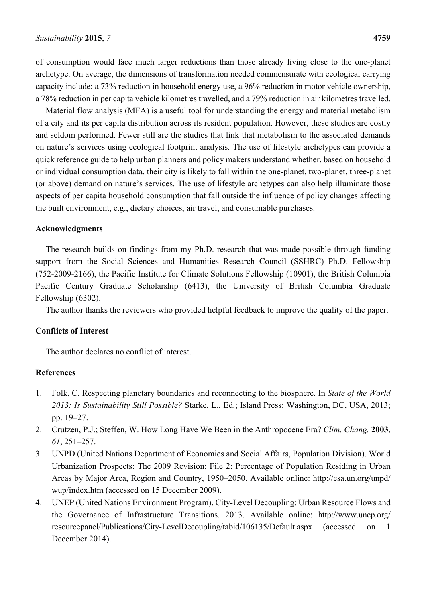of consumption would face much larger reductions than those already living close to the one-planet archetype. On average, the dimensions of transformation needed commensurate with ecological carrying capacity include: a 73% reduction in household energy use, a 96% reduction in motor vehicle ownership, a 78% reduction in per capita vehicle kilometres travelled, and a 79% reduction in air kilometres travelled.

Material flow analysis (MFA) is a useful tool for understanding the energy and material metabolism of a city and its per capita distribution across its resident population. However, these studies are costly and seldom performed. Fewer still are the studies that link that metabolism to the associated demands on nature's services using ecological footprint analysis. The use of lifestyle archetypes can provide a quick reference guide to help urban planners and policy makers understand whether, based on household or individual consumption data, their city is likely to fall within the one-planet, two-planet, three-planet (or above) demand on nature's services. The use of lifestyle archetypes can also help illuminate those aspects of per capita household consumption that fall outside the influence of policy changes affecting the built environment, e.g., dietary choices, air travel, and consumable purchases.

#### **Acknowledgments**

The research builds on findings from my Ph.D. research that was made possible through funding support from the Social Sciences and Humanities Research Council (SSHRC) Ph.D. Fellowship (752-2009-2166), the Pacific Institute for Climate Solutions Fellowship (10901), the British Columbia Pacific Century Graduate Scholarship (6413), the University of British Columbia Graduate Fellowship (6302).

The author thanks the reviewers who provided helpful feedback to improve the quality of the paper.

#### **Conflicts of Interest**

The author declares no conflict of interest.

## **References**

- 1. Folk, C. Respecting planetary boundaries and reconnecting to the biosphere. In *State of the World 2013: Is Sustainability Still Possible?* Starke, L., Ed.; Island Press: Washington, DC, USA, 2013; pp. 19–27.
- 2. Crutzen, P.J.; Steffen, W. How Long Have We Been in the Anthropocene Era? *Clim. Chang.* **2003**, *61*, 251–257.
- 3. UNPD (United Nations Department of Economics and Social Affairs, Population Division). World Urbanization Prospects: The 2009 Revision: File 2: Percentage of Population Residing in Urban Areas by Major Area, Region and Country, 1950–2050. Available online: http://esa.un.org/unpd/ wup/index.htm (accessed on 15 December 2009).
- 4. UNEP (United Nations Environment Program). City-Level Decoupling: Urban Resource Flows and the Governance of Infrastructure Transitions. 2013. Available online: http://www.unep.org/ resourcepanel/Publications/City-LevelDecoupling/tabid/106135/Default.aspx (accessed on 1 December 2014).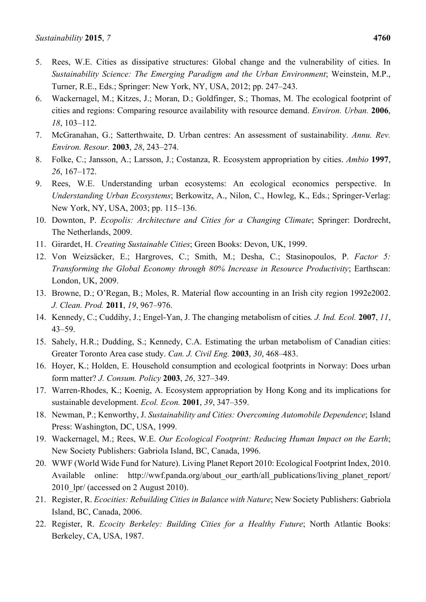- 5. Rees, W.E. Cities as dissipative structures: Global change and the vulnerability of cities. In *Sustainability Science: The Emerging Paradigm and the Urban Environment*; Weinstein, M.P., Turner, R.E., Eds.; Springer: New York, NY, USA, 2012; pp. 247–243.
- 6. Wackernagel, M.; Kitzes, J.; Moran, D.; Goldfinger, S.; Thomas, M. The ecological footprint of cities and regions: Comparing resource availability with resource demand. *Environ. Urban.* **2006**, *18*, 103–112.
- 7. McGranahan, G.; Satterthwaite, D. Urban centres: An assessment of sustainability. *Annu. Rev. Environ. Resour.* **2003**, *28*, 243–274.
- 8. Folke, C.; Jansson, A.; Larsson, J.; Costanza, R. Ecosystem appropriation by cities. *Ambio* **1997**, *26*, 167–172.
- 9. Rees, W.E. Understanding urban ecosystems: An ecological economics perspective. In *Understanding Urban Ecosystems*; Berkowitz, A., Nilon, C., Howleg, K., Eds.; Springer-Verlag: New York, NY, USA, 2003; pp. 115–136.
- 10. Downton, P. *Ecopolis: Architecture and Cities for a Changing Climate*; Springer: Dordrecht, The Netherlands, 2009.
- 11. Girardet, H. *Creating Sustainable Cities*; Green Books: Devon, UK, 1999.
- 12. Von Weizsäcker, E.; Hargroves, C.; Smith, M.; Desha, C.; Stasinopoulos, P. *Factor 5: Transforming the Global Economy through 80% Increase in Resource Productivity*; Earthscan: London, UK, 2009.
- 13. Browne, D.; O'Regan, B.; Moles, R. Material flow accounting in an Irish city region 1992e2002. *J. Clean. Prod.* **2011**, *19*, 967–976.
- 14. Kennedy, C.; Cuddihy, J.; Engel-Yan, J. The changing metabolism of cities*. J. Ind. Ecol.* **2007**, *11*, 43–59.
- 15. Sahely, H.R.; Dudding, S.; Kennedy, C.A. Estimating the urban metabolism of Canadian cities: Greater Toronto Area case study. *Can. J. Civil Eng.* **2003**, *30*, 468–483.
- 16. Hoyer, K.; Holden, E. Household consumption and ecological footprints in Norway: Does urban form matter? *J. Consum. Policy* **2003**, *26*, 327–349.
- 17. Warren-Rhodes, K.; Koenig, A. Ecosystem appropriation by Hong Kong and its implications for sustainable development. *Ecol. Econ.* **2001**, *39*, 347–359.
- 18. Newman, P.; Kenworthy, J. *Sustainability and Cities: Overcoming Automobile Dependence*; Island Press: Washington, DC, USA, 1999.
- 19. Wackernagel, M.; Rees, W.E. *Our Ecological Footprint: Reducing Human Impact on the Earth*; New Society Publishers: Gabriola Island, BC, Canada, 1996.
- 20. WWF (World Wide Fund for Nature). Living Planet Report 2010: Ecological Footprint Index, 2010. Available online: http://wwf.panda.org/about\_our\_earth/all\_publications/living\_planet\_report/ 2010 lpr/ (accessed on 2 August 2010).
- 21. Register, R. *Ecocities: Rebuilding Cities in Balance with Nature*; New Society Publishers: Gabriola Island, BC, Canada, 2006.
- 22. Register, R. *Ecocity Berkeley: Building Cities for a Healthy Future*; North Atlantic Books: Berkeley, CA, USA, 1987.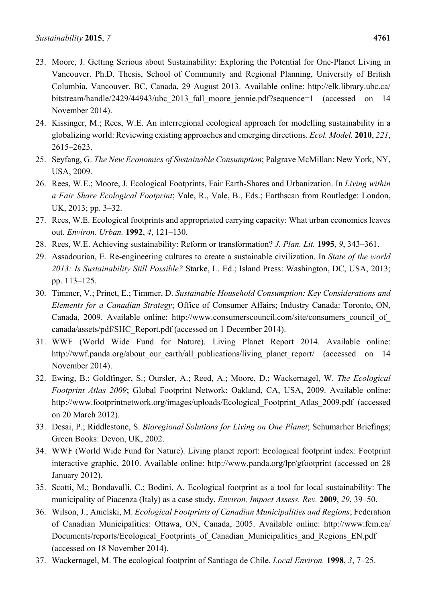- 23. Moore, J. Getting Serious about Sustainability: Exploring the Potential for One-Planet Living in Vancouver. Ph.D. Thesis, School of Community and Regional Planning, University of British Columbia, Vancouver, BC, Canada, 29 August 2013. Available online: http://elk.library.ubc.ca/ bitstream/handle/2429/44943/ubc 2013 fall moore jennie.pdf?sequence=1 (accessed on 14 November 2014).
- 24. Kissinger, M.; Rees, W.E. An interregional ecological approach for modelling sustainability in a globalizing world: Reviewing existing approaches and emerging directions. *Ecol. Model.* **2010**, *221*, 2615–2623.
- 25. Seyfang, G. *The New Economics of Sustainable Consumption*; Palgrave McMillan: New York, NY, USA, 2009.
- 26. Rees, W.E.; Moore, J. Ecological Footprints, Fair Earth-Shares and Urbanization. In *Living within a Fair Share Ecological Footprint*; Vale, R., Vale, B., Eds.; Earthscan from Routledge: London, UK, 2013; pp. 3–32.
- 27. Rees, W.E. Ecological footprints and appropriated carrying capacity: What urban economics leaves out. *Environ. Urban.* **1992**, *4*, 121–130.
- 28. Rees, W.E. Achieving sustainability: Reform or transformation? *J. Plan. Lit.* **1995**, *9*, 343–361.
- 29. Assadourian, E. Re-engineering cultures to create a sustainable civilization. In *State of the world 2013: Is Sustainability Still Possible?* Starke, L. Ed.; Island Press: Washington, DC, USA, 2013; pp. 113–125.
- 30. Timmer, V.; Prinet, E.; Timmer, D. *Sustainable Household Consumption: Key Considerations and Elements for a Canadian Strategy*; Office of Consumer Affairs; Industry Canada: Toronto, ON, Canada, 2009. Available online: http://www.consumerscouncil.com/site/consumers\_council\_of canada/assets/pdf/SHC\_Report.pdf (accessed on 1 December 2014).
- 31. WWF (World Wide Fund for Nature). Living Planet Report 2014. Available online: http://wwf.panda.org/about\_our\_earth/all\_publications/living\_planet\_report/ (accessed on 14 November 2014).
- 32. Ewing, B.; Goldfinger, S.; Oursler, A.; Reed, A.; Moore, D.; Wackernagel, W. *The Ecological Footprint Atlas 2009*; Global Footprint Network: Oakland, CA, USA, 2009. Available online: http://www.footprintnetwork.org/images/uploads/Ecological\_Footprint\_Atlas\_2009.pdf (accessed on 20 March 2012).
- 33. Desai, P.; Riddlestone, S. *Bioregional Solutions for Living on One Planet*; Schumarher Briefings; Green Books: Devon, UK, 2002.
- 34. WWF (World Wide Fund for Nature). Living planet report: Ecological footprint index: Footprint interactive graphic, 2010. Available online: http://www.panda.org/lpr/gfootprint (accessed on 28 January 2012).
- 35. Scotti, M.; Bondavalli, C.; Bodini, A. Ecological footprint as a tool for local sustainability: The municipality of Piacenza (Italy) as a case study. *Environ. Impact Assess. Rev.* **2009**, *29*, 39–50.
- 36. Wilson, J.; Anielski, M. *Ecological Footprints of Canadian Municipalities and Regions*; Federation of Canadian Municipalities: Ottawa, ON, Canada, 2005. Available online: http://www.fcm.ca/ Documents/reports/Ecological Footprints of Canadian Municipalities and Regions EN.pdf (accessed on 18 November 2014).
- 37. Wackernagel, M. The ecological footprint of Santiago de Chile. *Local Environ.* **1998**, *3*, 7–25.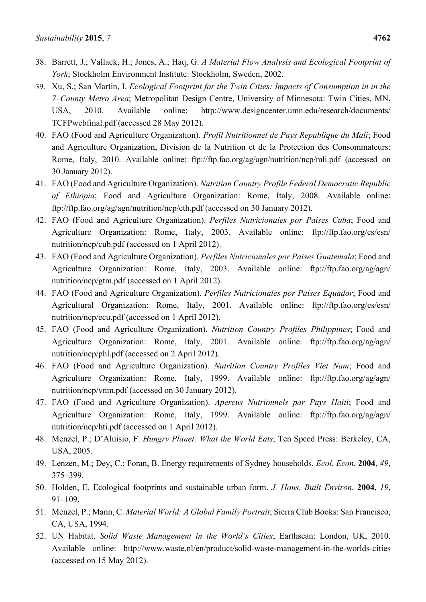- 38. Barrett, J.; Vallack, H.; Jones, A.; Haq, G. *A Material Flow Analysis and Ecological Footprint of York*; Stockholm Environment Institute: Stockholm, Sweden, 2002.
- 39. Xu, S.; San Martin, I. *Ecological Footprint for the Twin Cities: Impacts of Consumption in in the 7–County Metro Area*; Metropolitan Design Centre, University of Minnesota: Twin Cities, MN, USA, 2010. Available online: http://www.designcenter.umn.edu/research/documents/ TCFPwebfinal.pdf (accessed 28 May 2012).
- 40. FAO (Food and Agriculture Organization). *Profil Nutritionnel de Pays Republique du Mali*; Food and Agriculture Organization, Division de la Nutrition et de la Protection des Consommateurs: Rome, Italy, 2010. Available online: ftp://ftp.fao.org/ag/agn/nutrition/ncp/mli.pdf (accessed on 30 January 2012).
- 41. FAO (Food and Agriculture Organization). *Nutrition Country Profile Federal Democratic Republic of Ethiopia*; Food and Agriculture Organization: Rome, Italy, 2008. Available online: ftp://ftp.fao.org/ag/agn/nutrition/ncp/eth.pdf (accessed on 30 January 2012).
- 42. FAO (Food and Agriculture Organization). *Perfiles Nutricionales por Paises Cuba*; Food and Agriculture Organization: Rome, Italy, 2003. Available online: ftp://ftp.fao.org/es/esn/ nutrition/ncp/cub.pdf (accessed on 1 April 2012).
- 43. FAO (Food and Agriculture Organization). *Perfiles Nutricionales por Paises Guatemala*; Food and Agriculture Organization: Rome, Italy, 2003. Available online: ftp://ftp.fao.org/ag/agn/ nutrition/ncp/gtm.pdf (accessed on 1 April 2012).
- 44. FAO (Food and Agriculture Organization). *Perfiles Nutricionales por Paises Equador*; Food and Agricultural Organization: Rome, Italy, 2001. Available online: ftp://ftp.fao.org/es/esn/ nutrition/ncp/ecu.pdf (accessed on 1 April 2012).
- 45. FAO (Food and Agriculture Organization). *Nutrition Country Profiles Philippines*; Food and Agriculture Organization: Rome, Italy, 2001. Available online: ftp://ftp.fao.org/ag/agn/ nutrition/ncp/phl.pdf (accessed on 2 April 2012).
- 46. FAO (Food and Agriculture Organization). *Nutrition Country Profiles Viet Nam*; Food and Agriculture Organization: Rome, Italy, 1999. Available online: ftp://ftp.fao.org/ag/agn/ nutrition/ncp/vnm.pdf (accessed on 30 January 2012).
- 47. FAO (Food and Agriculture Organization). *Apercus Nutrionnels par Pays Haiti*; Food and Agriculture Organization: Rome, Italy, 1999. Available online: ftp://ftp.fao.org/ag/agn/ nutrition/ncp/hti.pdf (accessed on 1 April 2012).
- 48. Menzel, P.; D'Aluisio, F. *Hungry Planet: What the World Eats*; Ten Speed Press: Berkeley, CA, USA, 2005.
- 49. Lenzen, M.; Dey, C.; Foran, B. Energy requirements of Sydney households. *Ecol. Econ.* **2004**, *49*, 375–399.
- 50. Holden, E. Ecological footprints and sustainable urban form. *J. Hous. Built Environ.* **2004**, *19*, 91–109.
- 51. Menzel, P.; Mann, C. *Material World: A Global Family Portrait*; Sierra Club Books: San Francisco, CA, USA, 1994.
- 52. UN Habitat. *Solid Waste Management in the World's Cities*; Earthscan: London, UK, 2010. Available online: http://www.waste.nl/en/product/solid-waste-management-in-the-worlds-cities (accessed on 15 May 2012).